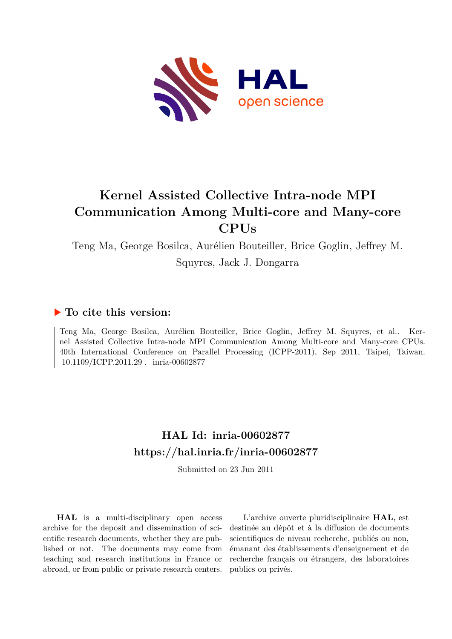

# **Kernel Assisted Collective Intra-node MPI Communication Among Multi-core and Many-core CPUs**

Teng Ma, George Bosilca, Aurélien Bouteiller, Brice Goglin, Jeffrey M.

Squyres, Jack J. Dongarra

# **To cite this version:**

Teng Ma, George Bosilca, Aurélien Bouteiller, Brice Goglin, Jeffrey M. Squyres, et al.. Kernel Assisted Collective Intra-node MPI Communication Among Multi-core and Many-core CPUs. 40th International Conference on Parallel Processing (ICPP-2011), Sep 2011, Taipei, Taiwan. 10.1109/ICPP.2011.29 . inria-00602877

# **HAL Id: inria-00602877 <https://hal.inria.fr/inria-00602877>**

Submitted on 23 Jun 2011

**HAL** is a multi-disciplinary open access archive for the deposit and dissemination of scientific research documents, whether they are published or not. The documents may come from teaching and research institutions in France or abroad, or from public or private research centers.

L'archive ouverte pluridisciplinaire **HAL**, est destinée au dépôt et à la diffusion de documents scientifiques de niveau recherche, publiés ou non, émanant des établissements d'enseignement et de recherche français ou étrangers, des laboratoires publics ou privés.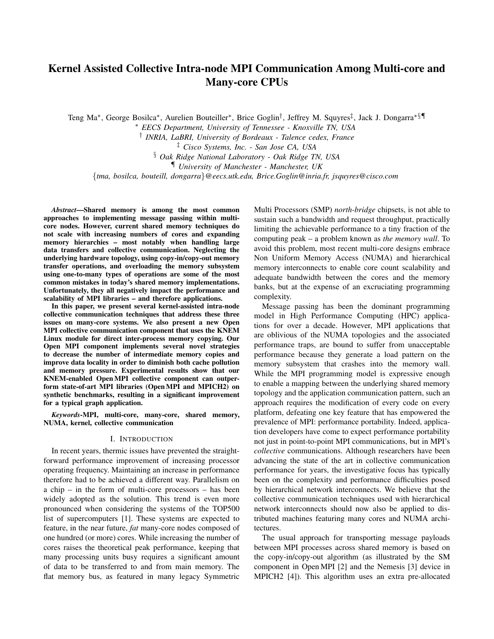# Kernel Assisted Collective Intra-node MPI Communication Among Multi-core and Many-core CPUs

Teng Ma<sup>∗</sup>, George Bosilca<sup>∗</sup>, Aurelien Bouteiller<sup>∗</sup>, Brice Goglin<sup>†</sup>, Jeffrey M. Squyres<sup>‡</sup>, Jack J. Dongarra<sup>∗§¶</sup>

<sup>∗</sup> *EECS Department, University of Tennessee - Knoxville TN, USA*

† *INRIA, LaBRI, University of Bordeaux - Talence cedex, France*

‡ *Cisco Systems, Inc. - San Jose CA, USA*

§ *Oak Ridge National Laboratory - Oak Ridge TN, USA*

¶ *University of Manchester - Manchester, UK*

{*tma, bosilca, bouteill, dongarra*}*@eecs.utk.edu, Brice.Goglin@inria.fr, jsquyres@cisco.com*

*Abstract*—Shared memory is among the most common approaches to implementing message passing within multicore nodes. However, current shared memory techniques do not scale with increasing numbers of cores and expanding memory hierarchies – most notably when handling large data transfers and collective communication. Neglecting the underlying hardware topology, using copy-in/copy-out memory transfer operations, and overloading the memory subsystem using one-to-many types of operations are some of the most common mistakes in today's shared memory implementations. Unfortunately, they all negatively impact the performance and scalability of MPI libraries – and therefore applications.

In this paper, we present several kernel-assisted intra-node collective communication techniques that address these three issues on many-core systems. We also present a new Open MPI collective communication component that uses the KNEM Linux module for direct inter-process memory copying. Our Open MPI component implements several novel strategies to decrease the number of intermediate memory copies and improve data locality in order to diminish both cache pollution and memory pressure. Experimental results show that our KNEM-enabled Open MPI collective component can outperform state-of-art MPI libraries (Open MPI and MPICH2) on synthetic benchmarks, resulting in a significant improvement for a typical graph application.

*Keywords*-MPI, multi-core, many-core, shared memory, NUMA, kernel, collective communication

#### I. INTRODUCTION

In recent years, thermic issues have prevented the straightforward performance improvement of increasing processor operating frequency. Maintaining an increase in performance therefore had to be achieved a different way. Parallelism on a chip – in the form of multi-core processors – has been widely adopted as the solution. This trend is even more pronounced when considering the systems of the TOP500 list of supercomputers [1]. These systems are expected to feature, in the near future, *fat* many-core nodes composed of one hundred (or more) cores. While increasing the number of cores raises the theoretical peak performance, keeping that many processing units busy requires a significant amount of data to be transferred to and from main memory. The flat memory bus, as featured in many legacy Symmetric Multi Processors (SMP) *north-bridge* chipsets, is not able to sustain such a bandwidth and request throughput, practically limiting the achievable performance to a tiny fraction of the computing peak – a problem known as *the memory wall*. To avoid this problem, most recent multi-core designs embrace Non Uniform Memory Access (NUMA) and hierarchical memory interconnects to enable core count scalability and adequate bandwidth between the cores and the memory banks, but at the expense of an excruciating programming complexity.

Message passing has been the dominant programming model in High Performance Computing (HPC) applications for over a decade. However, MPI applications that are oblivious of the NUMA topologies and the associated performance traps, are bound to suffer from unacceptable performance because they generate a load pattern on the memory subsystem that crashes into the memory wall. While the MPI programming model is expressive enough to enable a mapping between the underlying shared memory topology and the application communication pattern, such an approach requires the modification of every code on every platform, defeating one key feature that has empowered the prevalence of MPI: performance portability. Indeed, application developers have come to expect performance portability not just in point-to-point MPI communications, but in MPI's *collective* communications. Although researchers have been advancing the state of the art in collective communication performance for years, the investigative focus has typically been on the complexity and performance difficulties posed by hierarchical network interconnects. We believe that the collective communication techniques used with hierarchical network interconnects should now also be applied to distributed machines featuring many cores and NUMA architectures.

The usual approach for transporting message payloads between MPI processes across shared memory is based on the copy-in/copy-out algorithm (as illustrated by the SM component in Open MPI [2] and the Nemesis [3] device in MPICH2 [4]). This algorithm uses an extra pre-allocated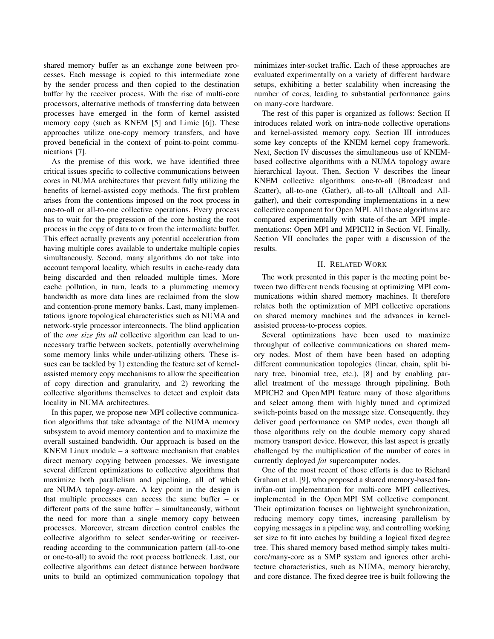shared memory buffer as an exchange zone between processes. Each message is copied to this intermediate zone by the sender process and then copied to the destination buffer by the receiver process. With the rise of multi-core processors, alternative methods of transferring data between processes have emerged in the form of kernel assisted memory copy (such as KNEM [5] and Limic [6]). These approaches utilize one-copy memory transfers, and have proved beneficial in the context of point-to-point communications [7].

As the premise of this work, we have identified three critical issues specific to collective communications between cores in NUMA architectures that prevent fully utilizing the benefits of kernel-assisted copy methods. The first problem arises from the contentions imposed on the root process in one-to-all or all-to-one collective operations. Every process has to wait for the progression of the core hosting the root process in the copy of data to or from the intermediate buffer. This effect actually prevents any potential acceleration from having multiple cores available to undertake multiple copies simultaneously. Second, many algorithms do not take into account temporal locality, which results in cache-ready data being discarded and then reloaded multiple times. More cache pollution, in turn, leads to a plummeting memory bandwidth as more data lines are reclaimed from the slow and contention-prone memory banks. Last, many implementations ignore topological characteristics such as NUMA and network-style processor interconnects. The blind application of the *one size fits all* collective algorithm can lead to unnecessary traffic between sockets, potentially overwhelming some memory links while under-utilizing others. These issues can be tackled by 1) extending the feature set of kernelassisted memory copy mechanisms to allow the specification of copy direction and granularity, and 2) reworking the collective algorithms themselves to detect and exploit data locality in NUMA architectures.

In this paper, we propose new MPI collective communication algorithms that take advantage of the NUMA memory subsystem to avoid memory contention and to maximize the overall sustained bandwidth. Our approach is based on the KNEM Linux module – a software mechanism that enables direct memory copying between processes. We investigate several different optimizations to collective algorithms that maximize both parallelism and pipelining, all of which are NUMA topology-aware. A key point in the design is that multiple processes can access the same buffer – or different parts of the same buffer – simultaneously, without the need for more than a single memory copy between processes. Moreover, stream direction control enables the collective algorithm to select sender-writing or receiverreading according to the communication pattern (all-to-one or one-to-all) to avoid the root process bottleneck. Last, our collective algorithms can detect distance between hardware units to build an optimized communication topology that minimizes inter-socket traffic. Each of these approaches are evaluated experimentally on a variety of different hardware setups, exhibiting a better scalability when increasing the number of cores, leading to substantial performance gains on many-core hardware.

The rest of this paper is organized as follows: Section II introduces related work on intra-node collective operations and kernel-assisted memory copy. Section III introduces some key concepts of the KNEM kernel copy framework. Next, Section IV discusses the simultaneous use of KNEMbased collective algorithms with a NUMA topology aware hierarchical layout. Then, Section V describes the linear KNEM collective algorithms: one-to-all (Broadcast and Scatter), all-to-one (Gather), all-to-all (Alltoall and Allgather), and their corresponding implementations in a new collective component for Open MPI. All those algorithms are compared experimentally with state-of-the-art MPI implementations: Open MPI and MPICH2 in Section VI. Finally, Section VII concludes the paper with a discussion of the results.

#### II. RELATED WORK

The work presented in this paper is the meeting point between two different trends focusing at optimizing MPI communications within shared memory machines. It therefore relates both the optimization of MPI collective operations on shared memory machines and the advances in kernelassisted process-to-process copies.

Several optimizations have been used to maximize throughput of collective communications on shared memory nodes. Most of them have been based on adopting different communication topologies (linear, chain, split binary tree, binomial tree, etc.), [8] and by enabling parallel treatment of the message through pipelining. Both MPICH2 and Open MPI feature many of those algorithms and select among them with highly tuned and optimized switch-points based on the message size. Consequently, they deliver good performance on SMP nodes, even though all those algorithms rely on the double memory copy shared memory transport device. However, this last aspect is greatly challenged by the multiplication of the number of cores in currently deployed *fat* supercomputer nodes.

One of the most recent of those efforts is due to Richard Graham et al. [9], who proposed a shared memory-based fanin/fan-out implementation for multi-core MPI collectives, implemented in the Open MPI SM collective component. Their optimization focuses on lightweight synchronization, reducing memory copy times, increasing parallelism by copying messages in a pipeline way, and controlling working set size to fit into caches by building a logical fixed degree tree. This shared memory based method simply takes multicore/many-core as a SMP system and ignores other architecture characteristics, such as NUMA, memory hierarchy, and core distance. The fixed degree tree is built following the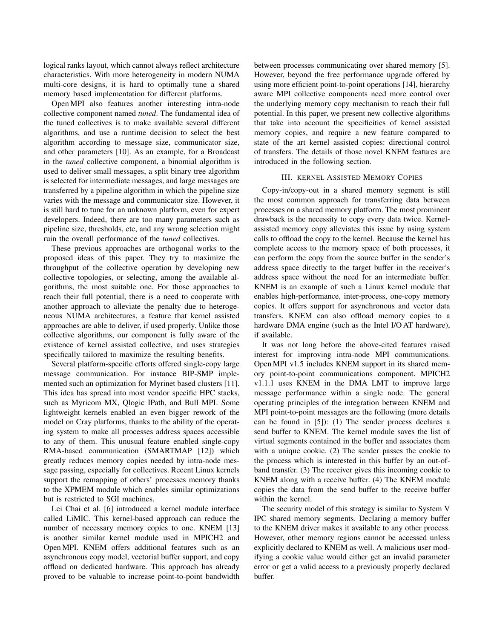logical ranks layout, which cannot always reflect architecture characteristics. With more heterogeneity in modern NUMA multi-core designs, it is hard to optimally tune a shared memory based implementation for different platforms.

Open MPI also features another interesting intra-node collective component named *tuned*. The fundamental idea of the tuned collectives is to make available several different algorithms, and use a runtime decision to select the best algorithm according to message size, communicator size, and other parameters [10]. As an example, for a Broadcast in the *tuned* collective component, a binomial algorithm is used to deliver small messages, a split binary tree algorithm is selected for intermediate messages, and large messages are transferred by a pipeline algorithm in which the pipeline size varies with the message and communicator size. However, it is still hard to tune for an unknown platform, even for expert developers. Indeed, there are too many parameters such as pipeline size, thresholds, etc, and any wrong selection might ruin the overall performance of the *tuned* collectives.

These previous approaches are orthogonal works to the proposed ideas of this paper. They try to maximize the throughput of the collective operation by developing new collective topologies, or selecting, among the available algorithms, the most suitable one. For those approaches to reach their full potential, there is a need to cooperate with another approach to alleviate the penalty due to heterogeneous NUMA architectures, a feature that kernel assisted approaches are able to deliver, if used properly. Unlike those collective algorithms, our component is fully aware of the existence of kernel assisted collective, and uses strategies specifically tailored to maximize the resulting benefits.

Several platform-specific efforts offered single-copy large message communication. For instance BIP-SMP implemented such an optimization for Myrinet based clusters [11]. This idea has spread into most vendor specific HPC stacks, such as Myricom MX, Qlogic IPath, and Bull MPI. Some lightweight kernels enabled an even bigger rework of the model on Cray platforms, thanks to the ability of the operating system to make all processes address spaces accessible to any of them. This unusual feature enabled single-copy RMA-based communication (SMARTMAP [12]) which greatly reduces memory copies needed by intra-node message passing, especially for collectives. Recent Linux kernels support the remapping of others' processes memory thanks to the XPMEM module which enables similar optimizations but is restricted to SGI machines.

Lei Chai et al. [6] introduced a kernel module interface called LiMIC. This kernel-based approach can reduce the number of necessary memory copies to one. KNEM [13] is another similar kernel module used in MPICH2 and Open MPI. KNEM offers additional features such as an asynchronous copy model, vectorial buffer support, and copy offload on dedicated hardware. This approach has already proved to be valuable to increase point-to-point bandwidth between processes communicating over shared memory [5]. However, beyond the free performance upgrade offered by using more efficient point-to-point operations [14], hierarchy aware MPI collective components need more control over the underlying memory copy mechanism to reach their full potential. In this paper, we present new collective algorithms that take into account the specificities of kernel assisted memory copies, and require a new feature compared to state of the art kernel assisted copies: directional control of transfers. The details of those novel KNEM features are introduced in the following section.

### III. KERNEL ASSISTED MEMORY COPIES

Copy-in/copy-out in a shared memory segment is still the most common approach for transferring data between processes on a shared memory platform. The most prominent drawback is the necessity to copy every data twice. Kernelassisted memory copy alleviates this issue by using system calls to offload the copy to the kernel. Because the kernel has complete access to the memory space of both processes, it can perform the copy from the source buffer in the sender's address space directly to the target buffer in the receiver's address space without the need for an intermediate buffer. KNEM is an example of such a Linux kernel module that enables high-performance, inter-process, one-copy memory copies. It offers support for asynchronous and vector data transfers. KNEM can also offload memory copies to a hardware DMA engine (such as the Intel I/O AT hardware), if available.

It was not long before the above-cited features raised interest for improving intra-node MPI communications. Open MPI v1.5 includes KNEM support in its shared memory point-to-point communications component. MPICH2 v1.1.1 uses KNEM in the DMA LMT to improve large message performance within a single node. The general operating principles of the integration between KNEM and MPI point-to-point messages are the following (more details can be found in [5]): (1) The sender process declares a send buffer to KNEM. The kernel module saves the list of virtual segments contained in the buffer and associates them with a unique cookie. (2) The sender passes the cookie to the process which is interested in this buffer by an out-ofband transfer. (3) The receiver gives this incoming cookie to KNEM along with a receive buffer. (4) The KNEM module copies the data from the send buffer to the receive buffer within the kernel.

The security model of this strategy is similar to System V IPC shared memory segments. Declaring a memory buffer to the KNEM driver makes it available to any other process. However, other memory regions cannot be accessed unless explicitly declared to KNEM as well. A malicious user modifying a cookie value would either get an invalid parameter error or get a valid access to a previously properly declared buffer.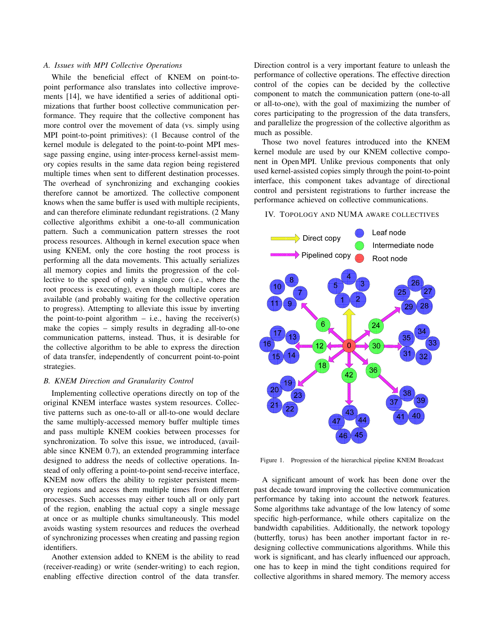## *A. Issues with MPI Collective Operations*

While the beneficial effect of KNEM on point-topoint performance also translates into collective improvements [14], we have identified a series of additional optimizations that further boost collective communication performance. They require that the collective component has more control over the movement of data (vs. simply using MPI point-to-point primitives): (1 Because control of the kernel module is delegated to the point-to-point MPI message passing engine, using inter-process kernel-assist memory copies results in the same data region being registered multiple times when sent to different destination processes. The overhead of synchronizing and exchanging cookies therefore cannot be amortized. The collective component knows when the same buffer is used with multiple recipients, and can therefore eliminate redundant registrations. (2 Many collective algorithms exhibit a one-to-all communication pattern. Such a communication pattern stresses the root process resources. Although in kernel execution space when using KNEM, only the core hosting the root process is performing all the data movements. This actually serializes all memory copies and limits the progression of the collective to the speed of only a single core (i.e., where the root process is executing), even though multiple cores are available (and probably waiting for the collective operation to progress). Attempting to alleviate this issue by inverting the point-to-point algorithm  $-$  i.e., having the receiver(s) make the copies – simply results in degrading all-to-one communication patterns, instead. Thus, it is desirable for the collective algorithm to be able to express the direction of data transfer, independently of concurrent point-to-point strategies.

# *B. KNEM Direction and Granularity Control*

Implementing collective operations directly on top of the original KNEM interface wastes system resources. Collective patterns such as one-to-all or all-to-one would declare the same multiply-accessed memory buffer multiple times and pass multiple KNEM cookies between processes for synchronization. To solve this issue, we introduced, (available since KNEM 0.7), an extended programming interface designed to address the needs of collective operations. Instead of only offering a point-to-point send-receive interface, KNEM now offers the ability to register persistent memory regions and access them multiple times from different processes. Such accesses may either touch all or only part of the region, enabling the actual copy a single message at once or as multiple chunks simultaneously. This model avoids wasting system resources and reduces the overhead of synchronizing processes when creating and passing region identifiers.

Another extension added to KNEM is the ability to read (receiver-reading) or write (sender-writing) to each region, enabling effective direction control of the data transfer. Direction control is a very important feature to unleash the performance of collective operations. The effective direction control of the copies can be decided by the collective component to match the communication pattern (one-to-all or all-to-one), with the goal of maximizing the number of cores participating to the progression of the data transfers, and parallelize the progression of the collective algorithm as much as possible.

Those two novel features introduced into the KNEM kernel module are used by our KNEM collective component in Open MPI. Unlike previous components that only used kernel-assisted copies simply through the point-to-point interface, this component takes advantage of directional control and persistent registrations to further increase the performance achieved on collective communications.

#### IV. TOPOLOGY AND NUMA AWARE COLLECTIVES



Figure 1. Progression of the hierarchical pipeline KNEM Broadcast

A significant amount of work has been done over the past decade toward improving the collective communication performance by taking into account the network features. Some algorithms take advantage of the low latency of some specific high-performance, while others capitalize on the bandwidth capabilities. Additionally, the network topology (butterfly, torus) has been another important factor in redesigning collective communications algorithms. While this work is significant, and has clearly influenced our approach, one has to keep in mind the tight conditions required for collective algorithms in shared memory. The memory access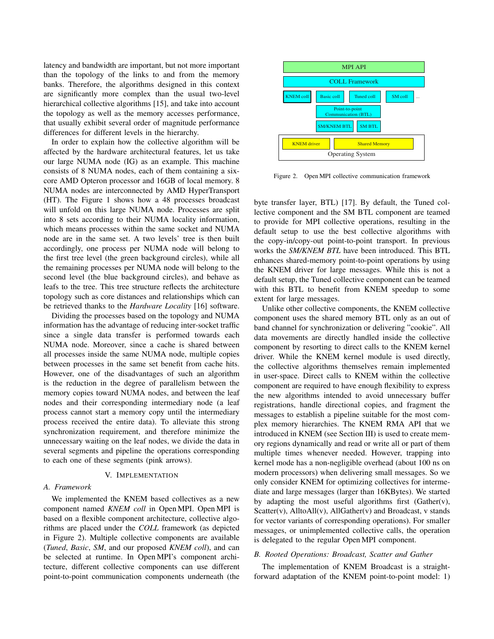latency and bandwidth are important, but not more important than the topology of the links to and from the memory banks. Therefore, the algorithms designed in this context are significantly more complex than the usual two-level hierarchical collective algorithms [15], and take into account the topology as well as the memory accesses performance, that usually exhibit several order of magnitude performance differences for different levels in the hierarchy.

In order to explain how the collective algorithm will be affected by the hardware architectural features, let us take our large NUMA node (IG) as an example. This machine consists of 8 NUMA nodes, each of them containing a sixcore AMD Opteron processor and 16GB of local memory. 8 NUMA nodes are interconnected by AMD HyperTransport (HT). The Figure 1 shows how a 48 processes broadcast will unfold on this large NUMA node. Processes are split into 8 sets according to their NUMA locality information, which means processes within the same socket and NUMA node are in the same set. A two levels' tree is then built accordingly, one process per NUMA node will belong to the first tree level (the green background circles), while all the remaining processes per NUMA node will belong to the second level (the blue background circles), and behave as leafs to the tree. This tree structure reflects the architecture topology such as core distances and relationships which can be retrieved thanks to the *Hardware Locality* [16] software.

Dividing the processes based on the topology and NUMA information has the advantage of reducing inter-socket traffic since a single data transfer is performed towards each NUMA node. Moreover, since a cache is shared between all processes inside the same NUMA node, multiple copies between processes in the same set benefit from cache hits. However, one of the disadvantages of such an algorithm is the reduction in the degree of parallelism between the memory copies toward NUMA nodes, and between the leaf nodes and their corresponding intermediary node (a leaf process cannot start a memory copy until the intermediary process received the entire data). To alleviate this strong synchronization requirement, and therefore minimize the unnecessary waiting on the leaf nodes, we divide the data in several segments and pipeline the operations corresponding to each one of these segments (pink arrows).

#### V. IMPLEMENTATION

#### *A. Framework*

We implemented the KNEM based collectives as a new component named *KNEM coll* in Open MPI. Open MPI is based on a flexible component architecture, collective algorithms are placed under the *COLL* framework (as depicted in Figure 2). Multiple collective components are available (*Tuned*, *Basic*, *SM*, and our proposed *KNEM coll*), and can be selected at runtime. In Open MPI's component architecture, different collective components can use different point-to-point communication components underneath (the



Figure 2. Open MPI collective communication framework

byte transfer layer, BTL) [17]. By default, the Tuned collective component and the SM BTL component are teamed to provide for MPI collective operations, resulting in the default setup to use the best collective algorithms with the copy-in/copy-out point-to-point transport. In previous works the *SM/KNEM BTL* have been introduced. This BTL enhances shared-memory point-to-point operations by using the KNEM driver for large messages. While this is not a default setup, the Tuned collective component can be teamed with this BTL to benefit from KNEM speedup to some extent for large messages.

Unlike other collective components, the KNEM collective component uses the shared memory BTL only as an out of band channel for synchronization or delivering "cookie". All data movements are directly handled inside the collective component by resorting to direct calls to the KNEM kernel driver. While the KNEM kernel module is used directly, the collective algorithms themselves remain implemented in user-space. Direct calls to KNEM within the collective component are required to have enough flexibility to express the new algorithms intended to avoid unnecessary buffer registrations, handle directional copies, and fragment the messages to establish a pipeline suitable for the most complex memory hierarchies. The KNEM RMA API that we introduced in KNEM (see Section III) is used to create memory regions dynamically and read or write all or part of them multiple times whenever needed. However, trapping into kernel mode has a non-negligible overhead (about 100 ns on modern processors) when delivering small messages. So we only consider KNEM for optimizing collectives for intermediate and large messages (larger than 16KBytes). We started by adapting the most useful algorithms first (Gather(v),  $Scatter(v)$ , AlltoAll(v), AllGather(v) and Broadcast, v stands for vector variants of corresponding operations). For smaller messages, or unimplemented collective calls, the operation is delegated to the regular Open MPI component.

# *B. Rooted Operations: Broadcast, Scatter and Gather*

The implementation of KNEM Broadcast is a straightforward adaptation of the KNEM point-to-point model: 1)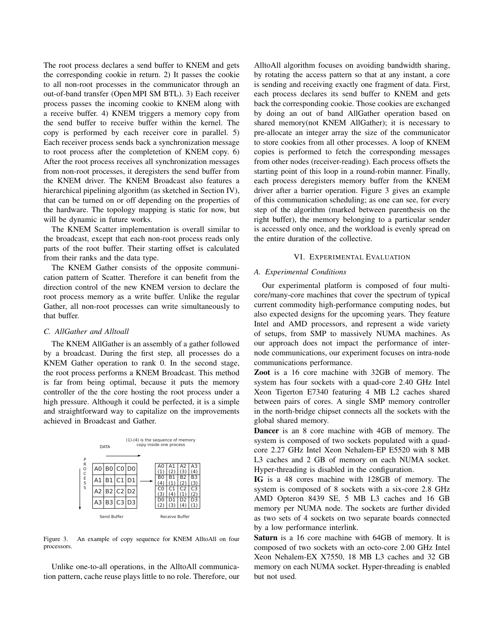The root process declares a send buffer to KNEM and gets the corresponding cookie in return. 2) It passes the cookie to all non-root processes in the communicator through an out-of-band transfer (Open MPI SM BTL). 3) Each receiver process passes the incoming cookie to KNEM along with a receive buffer. 4) KNEM triggers a memory copy from the send buffer to receive buffer within the kernel. The copy is performed by each receiver core in parallel. 5) Each receiver process sends back a synchronization message to root process after the completetion of KNEM copy. 6) After the root process receives all synchronization messages from non-root processes, it deregisters the send buffer from the KNEM driver. The KNEM Broadcast also features a hierarchical pipelining algorithm (as sketched in Section IV), that can be turned on or off depending on the properties of the hardware. The topology mapping is static for now, but will be dynamic in future works.

The KNEM Scatter implementation is overall similar to the broadcast, except that each non-root process reads only parts of the root buffer. Their starting offset is calculated from their ranks and the data type.

The KNEM Gather consists of the opposite communication pattern of Scatter. Therefore it can benefit from the direction control of the new KNEM version to declare the root process memory as a write buffer. Unlike the regular Gather, all non-root processes can write simultaneously to that buffer.

## *C. AllGather and Alltoall*

The KNEM AllGather is an assembly of a gather followed by a broadcast. During the first step, all processes do a KNEM Gather operation to rank 0. In the second stage, the root process performs a KNEM Broadcast. This method is far from being optimal, because it puts the memory controller of the the core hosting the root process under a high pressure. Although it could be perfected, it is a simple and straightforward way to capitalize on the improvements achieved in Broadcast and Gather.



Figure 3. An example of copy sequence for KNEM AlltoAll on four processors.

Unlike one-to-all operations, in the AlltoAll communication pattern, cache reuse plays little to no role. Therefore, our AlltoAll algorithm focuses on avoiding bandwidth sharing, by rotating the access pattern so that at any instant, a core is sending and receiving exactly one fragment of data. First, each process declares its send buffer to KNEM and gets back the corresponding cookie. Those cookies are exchanged by doing an out of band AllGather operation based on shared memory(not KNEM AllGather); it is necessary to pre-allocate an integer array the size of the communicator to store cookies from all other processes. A loop of KNEM copies is performed to fetch the corresponding messages from other nodes (receiver-reading). Each process offsets the starting point of this loop in a round-robin manner. Finally, each process deregisters memory buffer from the KNEM driver after a barrier operation. Figure 3 gives an example of this communication scheduling; as one can see, for every step of the algorithm (marked between parenthesis on the right buffer), the memory belonging to a particular sender is accessed only once, and the workload is evenly spread on the entire duration of the collective.

#### VI. EXPERIMENTAL EVALUATION

## *A. Experimental Conditions*

Our experimental platform is composed of four multicore/many-core machines that cover the spectrum of typical current commodity high-performance computing nodes, but also expected designs for the upcoming years. They feature Intel and AMD processors, and represent a wide variety of setups, from SMP to massively NUMA machines. As our approach does not impact the performance of internode communications, our experiment focuses on intra-node communications performance.

Zoot is a 16 core machine with 32GB of memory. The system has four sockets with a quad-core 2.40 GHz Intel Xeon Tigerton E7340 featuring 4 MB L2 caches shared between pairs of cores. A single SMP memory controller in the north-bridge chipset connects all the sockets with the global shared memory.

Dancer is an 8 core machine with 4GB of memory. The system is composed of two sockets populated with a quadcore 2.27 GHz Intel Xeon Nehalem-EP E5520 with 8 MB L3 caches and 2 GB of memory on each NUMA socket. Hyper-threading is disabled in the configuration.

IG is a 48 cores machine with 128GB of memory. The system is composed of 8 sockets with a six-core 2.8 GHz AMD Opteron 8439 SE, 5 MB L3 caches and 16 GB memory per NUMA node. The sockets are further divided as two sets of 4 sockets on two separate boards connected by a low performance interlink.

Saturn is a 16 core machine with 64GB of memory. It is composed of two sockets with an octo-core 2.00 GHz Intel Xeon Nehalem-EX X7550, 18 MB L3 caches and 32 GB memory on each NUMA socket. Hyper-threading is enabled but not used.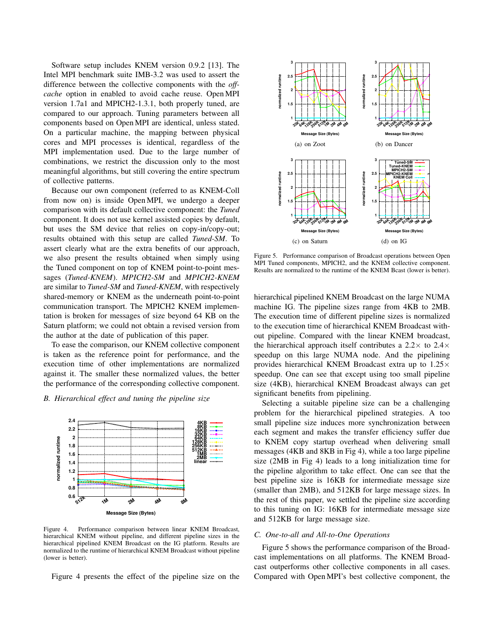Software setup includes KNEM version 0.9.2 [13]. The Intel MPI benchmark suite IMB-3.2 was used to assert the difference between the collective components with the *offcache* option in enabled to avoid cache reuse. Open MPI version 1.7a1 and MPICH2-1.3.1, both properly tuned, are compared to our approach. Tuning parameters between all components based on Open MPI are identical, unless stated. On a particular machine, the mapping between physical cores and MPI processes is identical, regardless of the MPI implementation used. Due to the large number of combinations, we restrict the discussion only to the most meaningful algorithms, but still covering the entire spectrum of collective patterns.

Because our own component (referred to as KNEM-Coll from now on) is inside Open MPI, we undergo a deeper comparison with its default collective component: the *Tuned* component. It does not use kernel assisted copies by default, but uses the SM device that relies on copy-in/copy-out; results obtained with this setup are called *Tuned-SM*. To assert clearly what are the extra benefits of our approach, we also present the results obtained when simply using the Tuned component on top of KNEM point-to-point messages (*Tuned-KNEM*). *MPICH2-SM* and *MPICH2-KNEM* are similar to *Tuned-SM* and *Tuned-KNEM*, with respectively shared-memory or KNEM as the underneath point-to-point communication transport. The MPICH2 KNEM implementation is broken for messages of size beyond 64 KB on the Saturn platform; we could not obtain a revised version from the author at the date of publication of this paper.

To ease the comparison, our KNEM collective component is taken as the reference point for performance, and the execution time of other implementations are normalized against it. The smaller these normalized values, the better the performance of the corresponding collective component.

### *B. Hierarchical effect and tuning the pipeline size*



Figure 4. Performance comparison between linear KNEM Broadcast, hierarchical KNEM without pipeline, and different pipeline sizes in the hierarchical pipelined KNEM Broadcast on the IG platform. Results are normalized to the runtime of hierarchical KNEM Broadcast without pipeline (lower is better).

Figure 4 presents the effect of the pipeline size on the



Figure 5. Performance comparison of Broadcast operations between Open MPI Tuned components, MPICH2, and the KNEM collective component. Results are normalized to the runtime of the KNEM Bcast (lower is better).

hierarchical pipelined KNEM Broadcast on the large NUMA machine IG. The pipeline sizes range from 4KB to 2MB. The execution time of different pipeline sizes is normalized to the execution time of hierarchical KNEM Broadcast without pipeline. Compared with the linear KNEM broadcast, the hierarchical approach itself contributes a  $2.2\times$  to  $2.4\times$ speedup on this large NUMA node. And the pipelining provides hierarchical KNEM Broadcast extra up to  $1.25\times$ speedup. One can see that except using too small pipeline size (4KB), hierarchical KNEM Broadcast always can get significant benefits from pipelining.

Selecting a suitable pipeline size can be a challenging problem for the hierarchical pipelined strategies. A too small pipeline size induces more synchronization between each segment and makes the transfer efficiency suffer due to KNEM copy startup overhead when delivering small messages (4KB and 8KB in Fig 4), while a too large pipeline size (2MB in Fig 4) leads to a long initialization time for the pipeline algorithm to take effect. One can see that the best pipeline size is 16KB for intermediate message size (smaller than 2MB), and 512KB for large message sizes. In the rest of this paper, we settled the pipeline size according to this tuning on IG: 16KB for intermediate message size and 512KB for large message size.

#### *C. One-to-all and All-to-One Operations*

Figure 5 shows the performance comparison of the Broadcast implementations on all platforms. The KNEM Broadcast outperforms other collective components in all cases. Compared with Open MPI's best collective component, the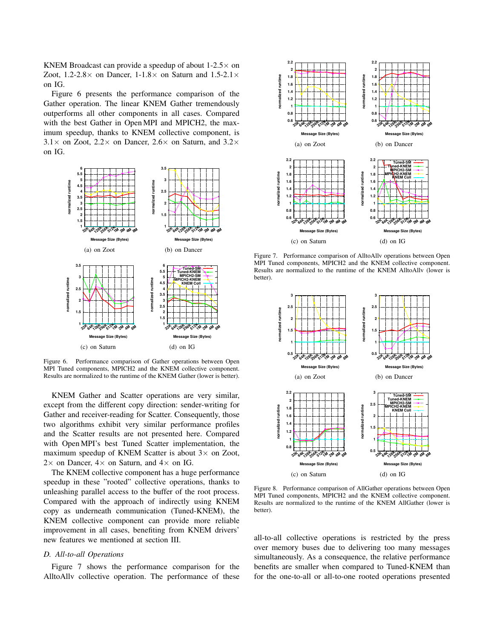KNEM Broadcast can provide a speedup of about  $1-2.5\times$  on Zoot, 1.2-2.8 $\times$  on Dancer, 1-1.8 $\times$  on Saturn and 1.5-2.1 $\times$ on IG.

Figure 6 presents the performance comparison of the Gather operation. The linear KNEM Gather tremendously outperforms all other components in all cases. Compared with the best Gather in Open MPI and MPICH2, the maximum speedup, thanks to KNEM collective component, is  $3.1\times$  on Zoot,  $2.2\times$  on Dancer,  $2.6\times$  on Saturn, and  $3.2\times$ on IG.



Figure 6. Performance comparison of Gather operations between Open MPI Tuned components, MPICH2 and the KNEM collective component. Results are normalized to the runtime of the KNEM Gather (lower is better).

KNEM Gather and Scatter operations are very similar, except from the different copy direction: sender-writing for Gather and receiver-reading for Scatter. Consequently, those two algorithms exhibit very similar performance profiles and the Scatter results are not presented here. Compared with Open MPI's best Tuned Scatter implementation, the maximum speedup of KNEM Scatter is about  $3 \times$  on Zoot,  $2 \times$  on Dancer,  $4 \times$  on Saturn, and  $4 \times$  on IG.

The KNEM collective component has a huge performance speedup in these "rooted" collective operations, thanks to unleashing parallel access to the buffer of the root process. Compared with the approach of indirectly using KNEM copy as underneath communication (Tuned-KNEM), the KNEM collective component can provide more reliable improvement in all cases, benefiting from KNEM drivers' new features we mentioned at section III.

# *D. All-to-all Operations*

Figure 7 shows the performance comparison for the AlltoAllv collective operation. The performance of these



Figure 7. Performance comparison of AlltoAllv operations between Open MPI Tuned components, MPICH2 and the KNEM collective component. Results are normalized to the runtime of the KNEM AlltoAllv (lower is better).



Figure 8. Performance comparison of AllGather operations between Open MPI Tuned components, MPICH2 and the KNEM collective component. Results are normalized to the runtime of the KNEM AllGather (lower is better).

all-to-all collective operations is restricted by the press over memory buses due to delivering too many messages simultaneously. As a consequence, the relative performance benefits are smaller when compared to Tuned-KNEM than for the one-to-all or all-to-one rooted operations presented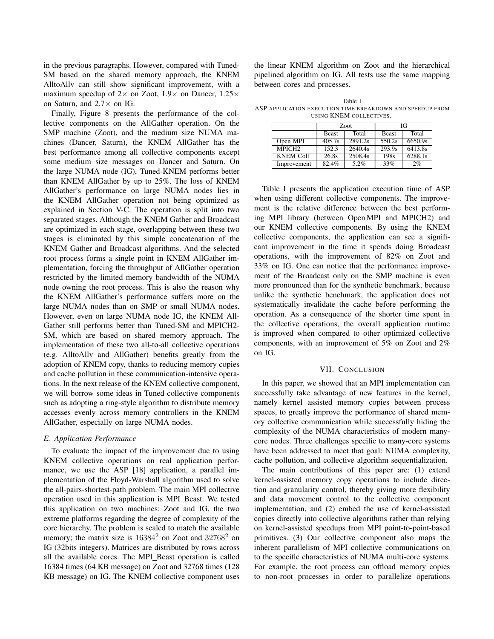in the previous paragraphs. However, compared with Tuned-SM based on the shared memory approach, the KNEM AlltoAllv can still show significant improvement, with a maximum speedup of  $2 \times$  on Zoot,  $1.9 \times$  on Dancer,  $1.25 \times$ on Saturn, and  $2.7\times$  on IG.

Finally, Figure 8 presents the performance of the collective components on the AllGather operation. On the SMP machine (Zoot), and the medium size NUMA machines (Dancer, Saturn), the KNEM AllGather has the best performance among all collective components except some medium size messages on Dancer and Saturn. On the large NUMA node (IG), Tuned-KNEM performs better than KNEM AllGather by up to 25%. The loss of KNEM AllGather's performance on large NUMA nodes lies in the KNEM AllGather operation not being optimized as explained in Section V-C. The operation is split into two separated stages. Although the KNEM Gather and Broadcast are optimized in each stage, overlapping between these two stages is eliminated by this simple concatenation of the KNEM Gather and Broadcast algorithms. And the selected root process forms a single point in KNEM AllGather implementation, forcing the throughput of AllGather operation restricted by the limited memory bandwidth of the NUMA node owning the root process. This is also the reason why the KNEM AllGather's performance suffers more on the large NUMA nodes than on SMP or small NUMA nodes. However, even on large NUMA node IG, the KNEM All-Gather still performs better than Tuned-SM and MPICH2- SM, which are based on shared memory approach. The implementation of these two all-to-all collective operations (e.g. AlltoAllv and AllGather) benefits greatly from the adoption of KNEM copy, thanks to reducing memory copies and cache pollution in these communication-intensive operations. In the next release of the KNEM collective component, we will borrow some ideas in Tuned collective components such as adopting a ring-style algorithm to distribute memory accesses evenly across memory controllers in the KNEM AllGather, especially on large NUMA nodes.

### *E. Application Performance*

To evaluate the impact of the improvement due to using KNEM collective operations on real application performance, we use the ASP [18] application, a parallel implementation of the Floyd-Warshall algorithm used to solve the all-pairs-shortest-path problem. The main MPI collective operation used in this application is MPI Bcast. We tested this application on two machines: Zoot and IG, the two extreme platforms regarding the degree of complexity of the core hierarchy. The problem is scaled to match the available memory; the matrix size is  $16384<sup>2</sup>$  on Zoot and  $32768<sup>2</sup>$  on IG (32bits integers). Matrices are distributed by rows across all the available cores. The MPI\_Bcast operation is called 16384 times (64 KB message) on Zoot and 32768 times (128 KB message) on IG. The KNEM collective component uses the linear KNEM algorithm on Zoot and the hierarchical pipelined algorithm on IG. All tests use the same mapping between cores and processes.

Table I ASP APPLICATION EXECUTION TIME BREAKDOWN AND SPEEDUP FROM USING KNEM COLLECTIVES.

|                    | Zoot   |         | ЮŦ            |         |
|--------------------|--------|---------|---------------|---------|
|                    | Bcast  | Total   | <b>B</b> cast | Total   |
| Open MPI           | 405.7s | 2891.2s | 550.2s        | 6650.9s |
| MPICH <sub>2</sub> | 152.3  | 2640.4s | 293.9s        | 6413.8s |
| <b>KNEM Coll</b>   | 26.8s  | 2508.4s | 198s          | 6288.1s |
| Improvement        | 82.4%  | $5.2\%$ | 33%           | 2%      |

Table I presents the application execution time of ASP when using different collective components. The improvement is the relative difference between the best performing MPI library (between Open MPI and MPICH2) and our KNEM collective components. By using the KNEM collective components, the application can see a significant improvement in the time it spends doing Broadcast operations, with the improvement of 82% on Zoot and 33% on IG. One can notice that the performance improvement of the Broadcast only on the SMP machine is even more pronounced than for the synthetic benchmark, because unlike the synthetic benchmark, the application does not systematically invalidate the cache before performing the operation. As a consequence of the shorter time spent in the collective operations, the overall application runtime is improved when compared to other optimized collective components, with an improvement of 5% on Zoot and 2% on IG.

#### VII. CONCLUSION

In this paper, we showed that an MPI implementation can successfully take advantage of new features in the kernel, namely kernel assisted memory copies between process spaces, to greatly improve the performance of shared memory collective communication while successfully hiding the complexity of the NUMA characteristics of modern manycore nodes. Three challenges specific to many-core systems have been addressed to meet that goal: NUMA complexity, cache pollution, and collective algorithm sequentialization.

The main contributions of this paper are: (1) extend kernel-assisted memory copy operations to include direction and granularity control, thereby giving more flexibility and data movement control to the collective component implementation, and (2) embed the use of kernel-assisted copies directly into collective algorithms rather than relying on kernel-assisted speedups from MPI point-to-point-based primitives. (3) Our collective component also maps the inherent parallelism of MPI collective communications on to the specific characteristics of NUMA multi-core systems. For example, the root process can offload memory copies to non-root processes in order to parallelize operations